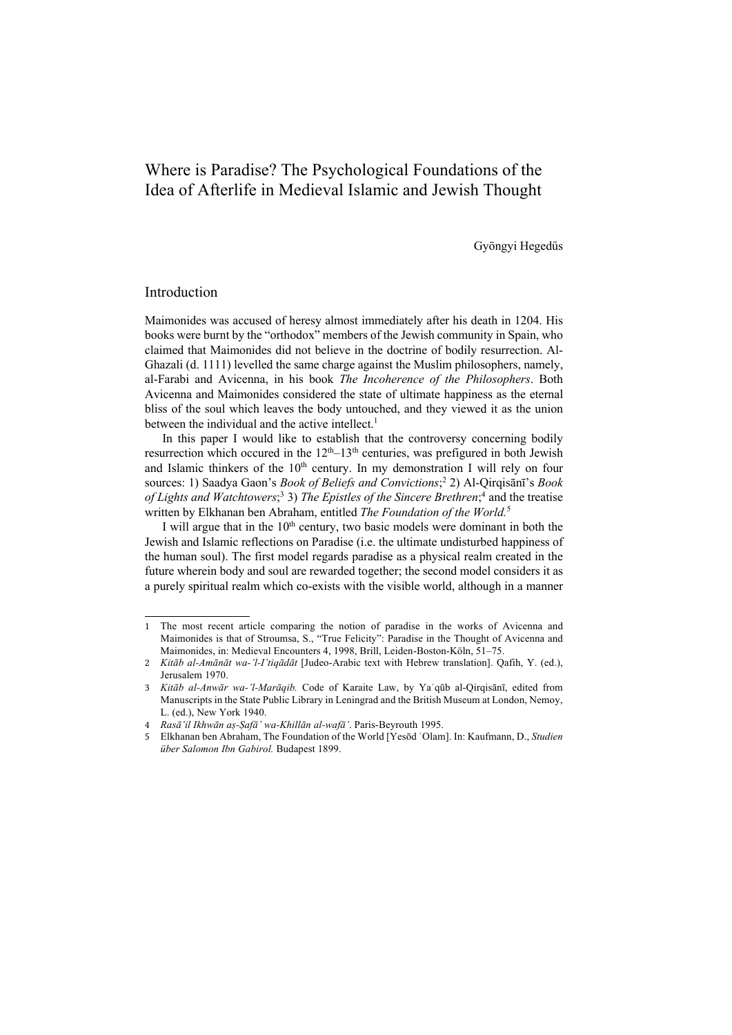# Where is Paradise? The Psychological Foundations of the Idea of Afterlife in Medieval Islamic and Jewish Thought

Gyöngyi Hegedűs

## Introduction

Maimonides was accused of heresy almost immediately after his death in 1204. His books were burnt by the "orthodox" members of the Jewish community in Spain, who claimed that Maimonides did not believe in the doctrine of bodily resurrection. Al-Ghazali (d. 1111) levelled the same charge against the Muslim philosophers, namely, al-Farabi and Avicenna, in his book *The Incoherence of the Philosophers*. Both Avicenna and Maimonides considered the state of ultimate happiness as the eternal bliss of the soul which leaves the body untouched, and they viewed it as the union between the individual and the active intellect.<sup>1</sup>

In this paper I would like to establish that the controversy concerning bodily resurrection which occured in the  $12<sup>th</sup> - 13<sup>th</sup>$  centuries, was prefigured in both Jewish and Islamic thinkers of the  $10<sup>th</sup>$  century. In my demonstration I will rely on four sources: 1) Saadya Gaon's *Book of Beliefs and Convictions*; <sup>2</sup> 2) Al-Qirqisānī's *Book*  of Lights and Watchtowers;<sup>3</sup> 3) The Epistles of the Sincere Brethren;<sup>4</sup> and the treatise written by Elkhanan ben Abraham, entitled *The Foundation of the World.*<sup>5</sup>

I will argue that in the  $10<sup>th</sup>$  century, two basic models were dominant in both the Jewish and Islamic reflections on Paradise (i.e. the ultimate undisturbed happiness of the human soul). The first model regards paradise as a physical realm created in the future wherein body and soul are rewarded together; the second model considers it as a purely spiritual realm which co-exists with the visible world, although in a manner

<sup>1</sup> The most recent article comparing the notion of paradise in the works of Avicenna and Maimonides is that of Stroumsa, S., "True Felicity": Paradise in the Thought of Avicenna and Maimonides, in: Medieval Encounters 4, 1998, Brill, Leiden-Boston-Köln, 51-75.

<sup>2</sup> *Kitāb al-Amānāt wa-'l-I'tiqādāt* [Judeo-Arabic text with Hebrew translation]. Qafih, Y. (ed.), Jerusalem 1970.

<sup>3</sup> *Kitāb al-Anwār wa-'l-Marāqib.* Code of Karaite Law, by Yaʿqūb al-Qirqisānī, edited from Manuscripts in the State Public Library in Leningrad and the British Museum at London, Nemoy, L. (ed.), New York 1940.

<sup>4</sup> *Rasā'il Ikhwān aṣ-Ṣafā' wa-Khillān al-wafā'*. Paris-Beyrouth 1995.

<sup>5</sup> Elkhanan ben Abraham, The Foundation of the World [Yesōd ʿOlam]. In: Kaufmann, D., *Studien über Salomon Ibn Gabirol.* Budapest 1899.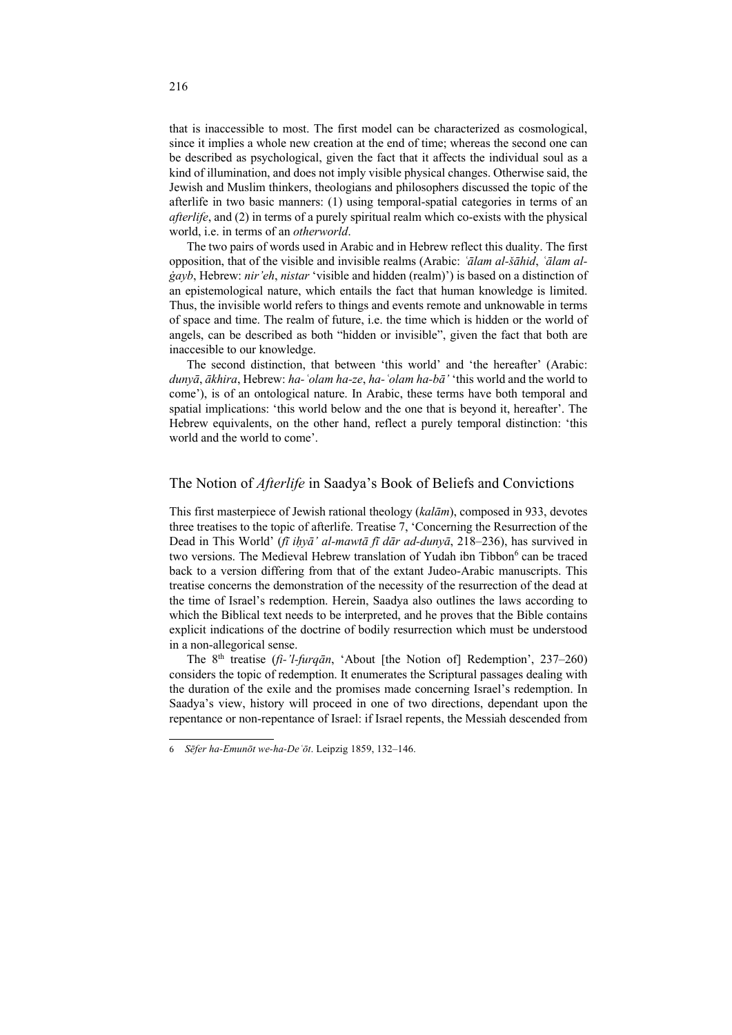that is inaccessible to most. The first model can be characterized as cosmological, since it implies a whole new creation at the end of time; whereas the second one can be described as psychological, given the fact that it affects the individual soul as a kind of illumination, and does not imply visible physical changes. Otherwise said, the Jewish and Muslim thinkers, theologians and philosophers discussed the topic of the afterlife in two basic manners: (1) using temporal-spatial categories in terms of an *afterlife*, and (2) in terms of a purely spiritual realm which co-exists with the physical world, i.e. in terms of an *otherworld*.

The two pairs of words used in Arabic and in Hebrew reflect this duality. The first opposition, that of the visible and invisible realms (Arabic: *ʿālam al-šāhid*, *ʿālam alġayb*, Hebrew: *nir'eh*, *nistar* 'visible and hidden (realm)') is based on a distinction of an epistemological nature, which entails the fact that human knowledge is limited. Thus, the invisible world refers to things and events remote and unknowable in terms of space and time. The realm of future, i.e. the time which is hidden or the world of angels, can be described as both "hidden or invisible", given the fact that both are inaccesible to our knowledge.

The second distinction, that between 'this world' and 'the hereafter' (Arabic: *dunyā*, *ākhira*, Hebrew: *ha-ʿolam ha-ze*, *ha-ʿolam ha-bā'* 'this world and the world to come'), is of an ontological nature. In Arabic, these terms have both temporal and spatial implications: 'this world below and the one that is beyond it, hereafter'. The Hebrew equivalents, on the other hand, reflect a purely temporal distinction: 'this world and the world to come'.

## The Notion of *Afterlife* in Saadya's Book of Beliefs and Convictions

This first masterpiece of Jewish rational theology (*kalām*), composed in 933, devotes three treatises to the topic of afterlife. Treatise 7, 'Concerning the Resurrection of the Dead in This World' (*fī iḥyā' al-mawtā fī dār ad-dunyā*, 218–236), has survived in two versions. The Medieval Hebrew translation of Yudah ibn Tibbon<sup>6</sup> can be traced back to a version differing from that of the extant Judeo-Arabic manuscripts. This treatise concerns the demonstration of the necessity of the resurrection of the dead at the time of Israel's redemption. Herein, Saadya also outlines the laws according to which the Biblical text needs to be interpreted, and he proves that the Bible contains explicit indications of the doctrine of bodily resurrection which must be understood in a non-allegorical sense.

The 8<sup>th</sup> treatise (*fi-'l-furqān*, 'About [the Notion of] Redemption', 237–260) considers the topic of redemption. It enumerates the Scriptural passages dealing with the duration of the exile and the promises made concerning Israel's redemption. In Saadya's view, history will proceed in one of two directions, dependant upon the repentance or non-repentance of Israel: if Israel repents, the Messiah descended from

<sup>6</sup> *Sēfer ha-Emunōt we-ha-Deʿōt*. Leipzig 1859, 132‒146.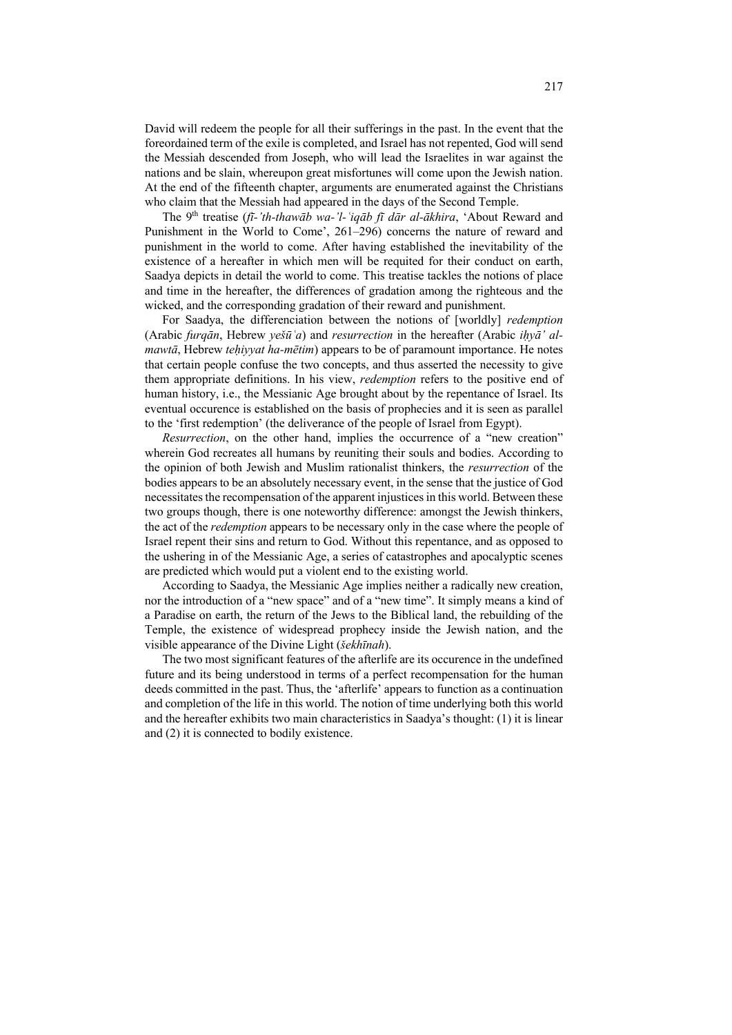David will redeem the people for all their sufferings in the past. In the event that the foreordained term of the exile is completed, and Israel has not repented, God will send the Messiah descended from Joseph, who will lead the Israelites in war against the nations and be slain, whereupon great misfortunes will come upon the Jewish nation. At the end of the fifteenth chapter, arguments are enumerated against the Christians who claim that the Messiah had appeared in the days of the Second Temple.

The 9th treatise (*fī-'th-thawāb wa-'l-ʿiqāb fī dār al-ākhira*, 'About Reward and Punishment in the World to Come', 261-296) concerns the nature of reward and punishment in the world to come. After having established the inevitability of the existence of a hereafter in which men will be requited for their conduct on earth, Saadya depicts in detail the world to come. This treatise tackles the notions of place and time in the hereafter, the differences of gradation among the righteous and the wicked, and the corresponding gradation of their reward and punishment.

For Saadya, the differenciation between the notions of [worldly] *redemption* (Arabic *furqān*, Hebrew *yešūʿa*) and *resurrection* in the hereafter (Arabic *iḥyā' almawtā*, Hebrew *teḥiyyat ha-mētim*) appears to be of paramount importance. He notes that certain people confuse the two concepts, and thus asserted the necessity to give them appropriate definitions. In his view, *redemption* refers to the positive end of human history, i.e., the Messianic Age brought about by the repentance of Israel. Its eventual occurence is established on the basis of prophecies and it is seen as parallel to the 'first redemption' (the deliverance of the people of Israel from Egypt).

*Resurrection*, on the other hand, implies the occurrence of a "new creation" wherein God recreates all humans by reuniting their souls and bodies. According to the opinion of both Jewish and Muslim rationalist thinkers, the *resurrection* of the bodies appears to be an absolutely necessary event, in the sense that the justice of God necessitates the recompensation of the apparent injustices in this world. Between these two groups though, there is one noteworthy difference: amongst the Jewish thinkers, the act of the *redemption* appears to be necessary only in the case where the people of Israel repent their sins and return to God. Without this repentance, and as opposed to the ushering in of the Messianic Age, a series of catastrophes and apocalyptic scenes are predicted which would put a violent end to the existing world.

According to Saadya, the Messianic Age implies neither a radically new creation, nor the introduction of a "new space" and of a "new time". It simply means a kind of a Paradise on earth, the return of the Jews to the Biblical land, the rebuilding of the Temple, the existence of widespread prophecy inside the Jewish nation, and the visible appearance of the Divine Light (*šekhīnah*).

The two most significant features of the afterlife are its occurence in the undefined future and its being understood in terms of a perfect recompensation for the human deeds committed in the past. Thus, the 'afterlife' appears to function as a continuation and completion of the life in this world. The notion of time underlying both this world and the hereafter exhibits two main characteristics in Saadya's thought: (1) it is linear and (2) it is connected to bodily existence.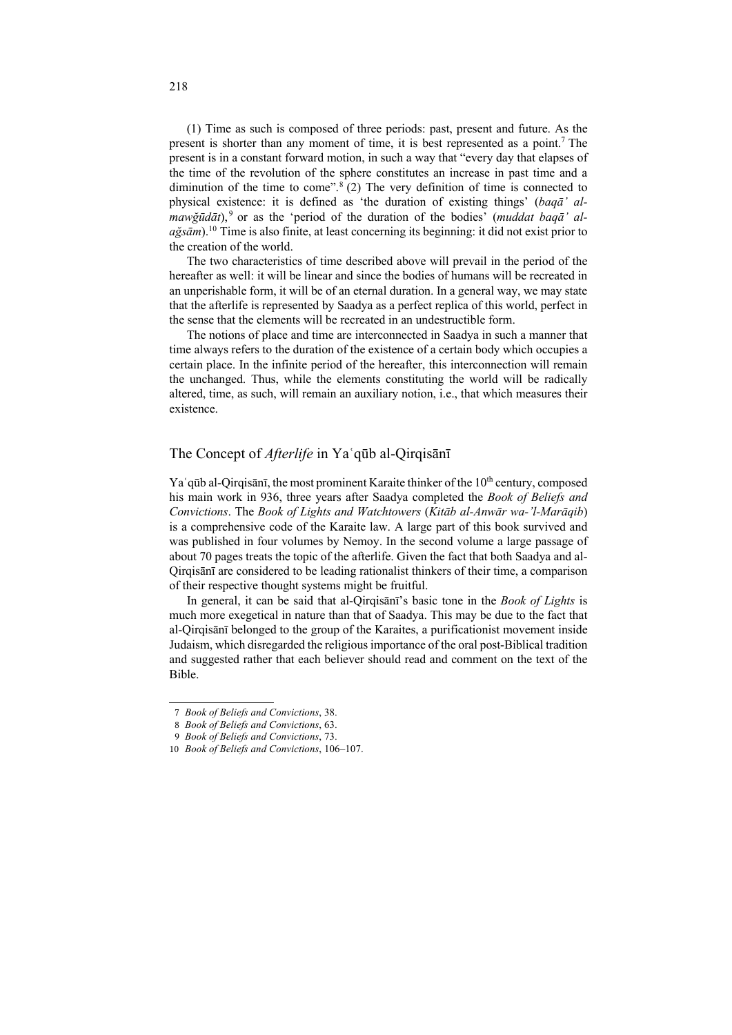(1) Time as such is composed of three periods: past, present and future. As the present is shorter than any moment of time, it is best represented as a point. <sup>7</sup> The present is in a constant forward motion, in such a way that "every day that elapses of the time of the revolution of the sphere constitutes an increase in past time and a diminution of the time to come". <sup>8</sup> (2) The very definition of time is connected to physical existence: it is defined as 'the duration of existing things' (*baqā' almawğūdāt*), <sup>9</sup> or as the 'period of the duration of the bodies' (*muddat baqā' alağsām*).10 Time is also finite, at least concerning its beginning: it did not exist prior to the creation of the world.

The two characteristics of time described above will prevail in the period of the hereafter as well: it will be linear and since the bodies of humans will be recreated in an unperishable form, it will be of an eternal duration. In a general way, we may state that the afterlife is represented by Saadya as a perfect replica of this world, perfect in the sense that the elements will be recreated in an undestructible form.

The notions of place and time are interconnected in Saadya in such a manner that time always refers to the duration of the existence of a certain body which occupies a certain place. In the infinite period of the hereafter, this interconnection will remain the unchanged. Thus, while the elements constituting the world will be radically altered, time, as such, will remain an auxiliary notion, i.e., that which measures their existence.

## The Concept of *Afterlife* in Yaʿqūb al-Qirqisānī

 $Ya'q\bar{u}b$  al-Qirqisānī, the most prominent Karaite thinker of the  $10<sup>th</sup>$  century, composed his main work in 936, three years after Saadya completed the *Book of Beliefs and Convictions*. The *Book of Lights and Watchtowers* (*Kitāb al-Anwār wa-'l-Marāqib*) is a comprehensive code of the Karaite law. A large part of this book survived and was published in four volumes by Nemoy. In the second volume a large passage of about 70 pages treats the topic of the afterlife. Given the fact that both Saadya and al-Qirqisānī are considered to be leading rationalist thinkers of their time, a comparison of their respective thought systems might be fruitful.

In general, it can be said that al-Qirqisānī's basic tone in the *Book of Lights* is much more exegetical in nature than that of Saadya. This may be due to the fact that al-Qirqisānī belonged to the group of the Karaites, a purificationist movement inside Judaism, which disregarded the religious importance of the oral post-Biblical tradition and suggested rather that each believer should read and comment on the text of the Bible.

<sup>7</sup> *Book of Beliefs and Convictions*, 38.

<sup>8</sup> *Book of Beliefs and Convictions*, 63.

<sup>9</sup> *Book of Beliefs and Convictions*, 73.

<sup>10</sup> *Book of Beliefs and Convictions*, 106-107.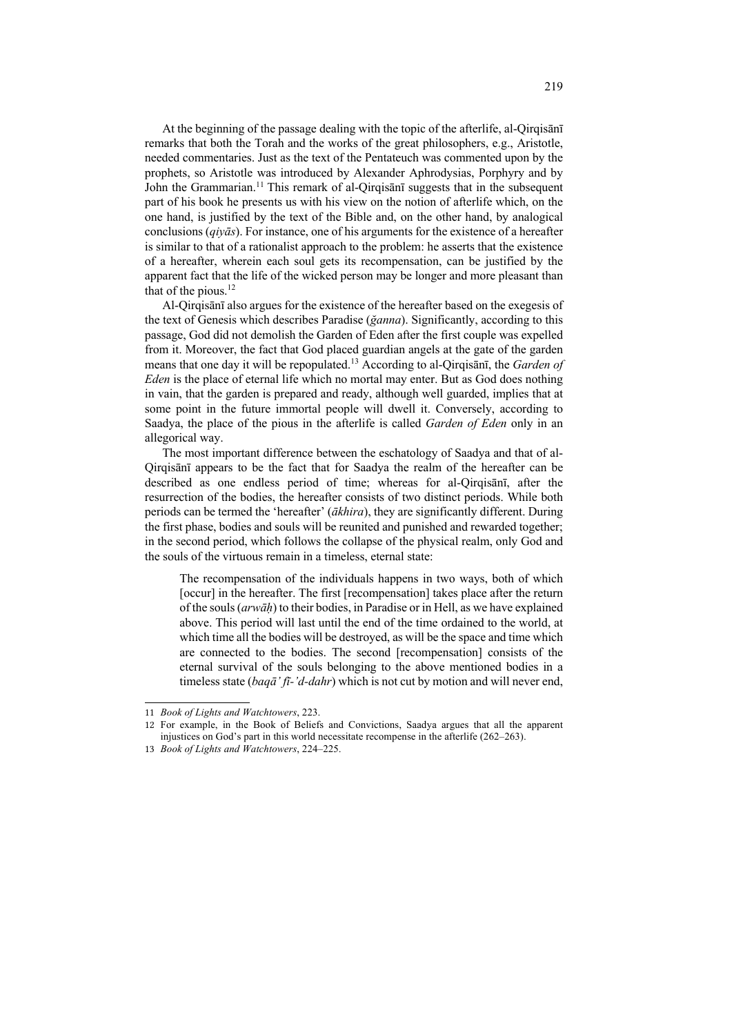At the beginning of the passage dealing with the topic of the afterlife, al-Qirqisānī remarks that both the Torah and the works of the great philosophers, e.g., Aristotle, needed commentaries. Just as the text of the Pentateuch was commented upon by the prophets, so Aristotle was introduced by Alexander Aphrodysias, Porphyry and by John the Grammarian.<sup>11</sup> This remark of al-Qirqisani suggests that in the subsequent part of his book he presents us with his view on the notion of afterlife which, on the one hand, is justified by the text of the Bible and, on the other hand, by analogical conclusions (*qiyās*). For instance, one of his arguments for the existence of a hereafter is similar to that of a rationalist approach to the problem: he asserts that the existence of a hereafter, wherein each soul gets its recompensation, can be justified by the apparent fact that the life of the wicked person may be longer and more pleasant than that of the pious.12

Al-Qirqisānī also argues for the existence of the hereafter based on the exegesis of the text of Genesis which describes Paradise (*ğanna*). Significantly, according to this passage, God did not demolish the Garden of Eden after the first couple was expelled from it. Moreover, the fact that God placed guardian angels at the gate of the garden means that one day it will be repopulated.13 According to al-Qirqisānī, the *Garden of Eden* is the place of eternal life which no mortal may enter. But as God does nothing in vain, that the garden is prepared and ready, although well guarded, implies that at some point in the future immortal people will dwell it. Conversely, according to Saadya, the place of the pious in the afterlife is called *Garden of Eden* only in an allegorical way.

The most important difference between the eschatology of Saadya and that of al-Qirqisānī appears to be the fact that for Saadya the realm of the hereafter can be described as one endless period of time; whereas for al-Qirqisānī, after the resurrection of the bodies, the hereafter consists of two distinct periods. While both periods can be termed the 'hereafter' (*ākhira*), they are significantly different. During the first phase, bodies and souls will be reunited and punished and rewarded together; in the second period, which follows the collapse of the physical realm, only God and the souls of the virtuous remain in a timeless, eternal state:

The recompensation of the individuals happens in two ways, both of which [occur] in the hereafter. The first [recompensation] takes place after the return of the souls (*arwāḥ*) to their bodies, in Paradise or in Hell, as we have explained above. This period will last until the end of the time ordained to the world, at which time all the bodies will be destroyed, as will be the space and time which are connected to the bodies. The second [recompensation] consists of the eternal survival of the souls belonging to the above mentioned bodies in a timeless state (*baqā' fī-'d-dahr*) which is not cut by motion and will never end,

<sup>11</sup> *Book of Lights and Watchtowers*, 223.

<sup>12</sup> For example, in the Book of Beliefs and Convictions, Saadya argues that all the apparent injustices on God's part in this world necessitate recompense in the afterlife (262–263).

<sup>13</sup> *Book of Lights and Watchtowers*, 224-225.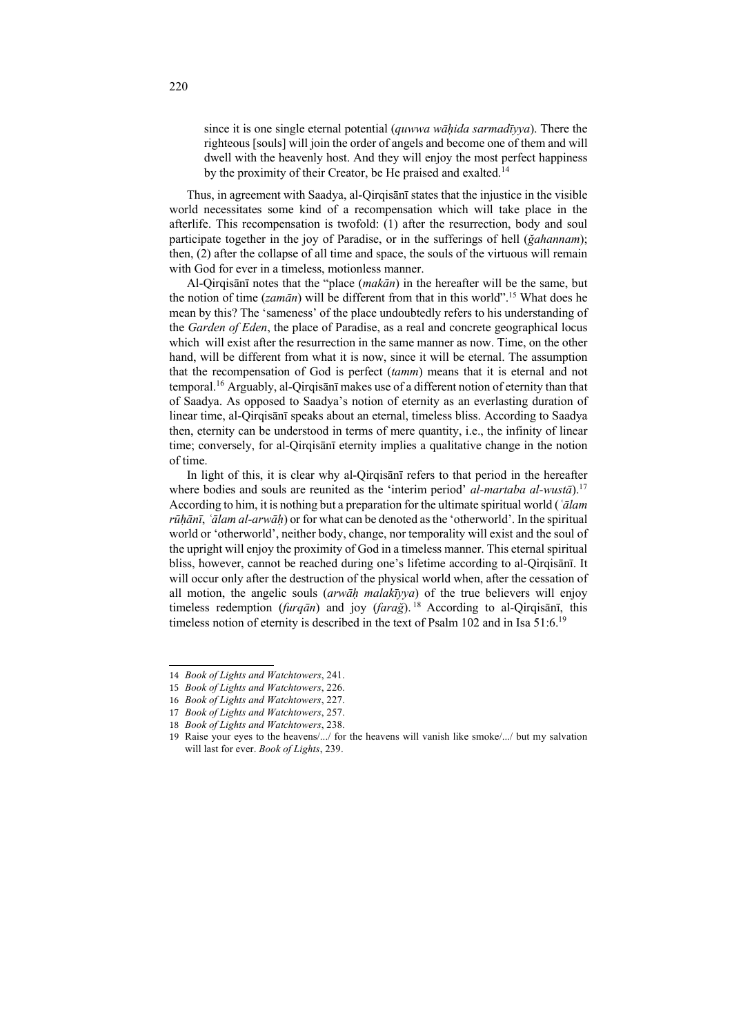since it is one single eternal potential (*quwwa wāḥida sarmadīyya*). There the righteous [souls] will join the order of angels and become one of them and will dwell with the heavenly host. And they will enjoy the most perfect happiness by the proximity of their Creator, be He praised and exalted.<sup>14</sup>

Thus, in agreement with Saadya, al-Qirqisānī states that the injustice in the visible world necessitates some kind of a recompensation which will take place in the afterlife. This recompensation is twofold: (1) after the resurrection, body and soul participate together in the joy of Paradise, or in the sufferings of hell (*ğahannam*); then, (2) after the collapse of all time and space, the souls of the virtuous will remain with God for ever in a timeless, motionless manner.

Al-Qirqisānī notes that the "place (*makān*) in the hereafter will be the same, but the notion of time (*zamān*) will be different from that in this world". <sup>15</sup> What does he mean by this? The 'sameness' of the place undoubtedly refers to his understanding of the *Garden of Eden*, the place of Paradise, as a real and concrete geographical locus which will exist after the resurrection in the same manner as now. Time, on the other hand, will be different from what it is now, since it will be eternal. The assumption that the recompensation of God is perfect (*tamm*) means that it is eternal and not temporal.16 Arguably, al-Qirqisānī makes use of a different notion of eternity than that of Saadya. As opposed to Saadya's notion of eternity as an everlasting duration of linear time, al-Qirqisānī speaks about an eternal, timeless bliss. According to Saadya then, eternity can be understood in terms of mere quantity, i.e., the infinity of linear time; conversely, for al-Qirqisānī eternity implies a qualitative change in the notion of time.

In light of this, it is clear why al-Qirqisānī refers to that period in the hereafter where bodies and souls are reunited as the 'interim period' *al-martaba al-wustā*).17 According to him, it is nothing but a preparation for the ultimate spiritual world (*ʿālam rūḥānī*, *ʿālam al-arwāḥ*) or for what can be denoted as the 'otherworld'. In the spiritual world or 'otherworld', neither body, change, nor temporality will exist and the soul of the upright will enjoy the proximity of God in a timeless manner. This eternal spiritual bliss, however, cannot be reached during one's lifetime according to al-Qirqisānī. It will occur only after the destruction of the physical world when, after the cessation of all motion, the angelic souls (*arwāḥ malakīyya*) of the true believers will enjoy timeless redemption (*furqān*) and joy (*farağ*). <sup>18</sup> According to al-Qirqisānī, this timeless notion of eternity is described in the text of Psalm 102 and in Isa 51:6.<sup>19</sup>

<sup>14</sup> *Book of Lights and Watchtowers*, 241.

<sup>15</sup> *Book of Lights and Watchtowers*, 226.

<sup>16</sup> *Book of Lights and Watchtowers*, 227.

<sup>17</sup> *Book of Lights and Watchtowers*, 257.

<sup>18</sup> *Book of Lights and Watchtowers*, 238.

<sup>19</sup> Raise your eyes to the heavens/.../ for the heavens will vanish like smoke/.../ but my salvation will last for ever. *Book of Lights*, 239.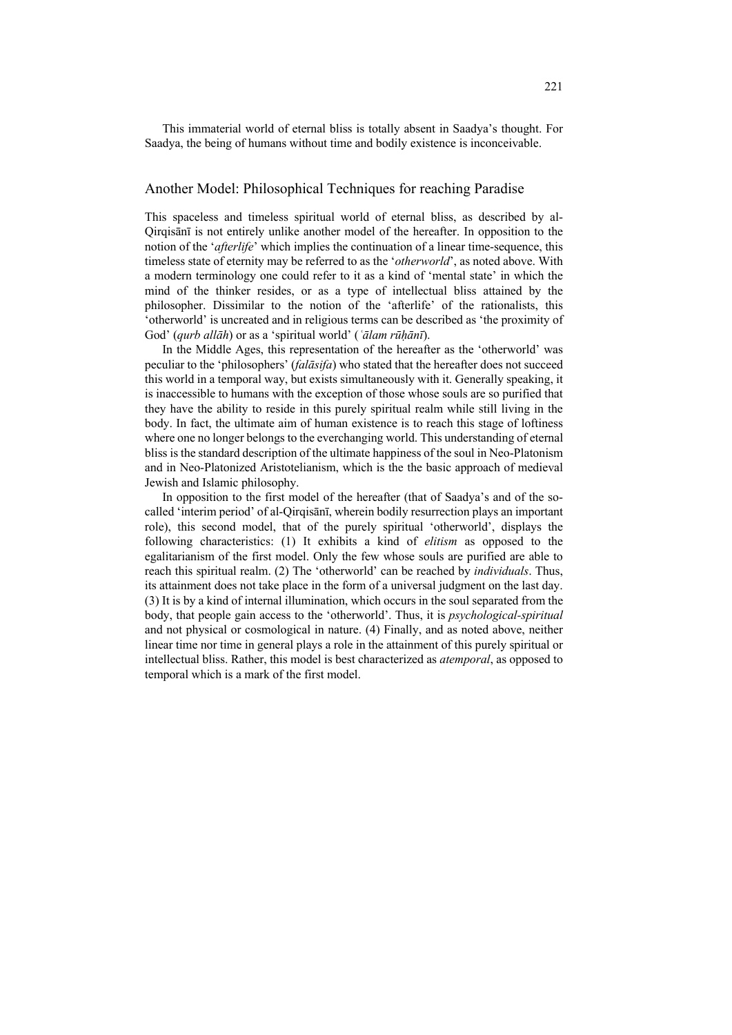This immaterial world of eternal bliss is totally absent in Saadya's thought. For Saadya, the being of humans without time and bodily existence is inconceivable.

### Another Model: Philosophical Techniques for reaching Paradise

This spaceless and timeless spiritual world of eternal bliss, as described by al-Qirqisānī is not entirely unlike another model of the hereafter. In opposition to the notion of the '*afterlife*' which implies the continuation of a linear time-sequence, this timeless state of eternity may be referred to as the '*otherworld*', as noted above. With a modern terminology one could refer to it as a kind of 'mental state' in which the mind of the thinker resides, or as a type of intellectual bliss attained by the philosopher. Dissimilar to the notion of the 'afterlife' of the rationalists, this 'otherworld' is uncreated and in religious terms can be described as 'the proximity of God' (*qurb allāh*) or as a 'spiritual world' (*ʿālam rūḥānī*).

In the Middle Ages, this representation of the hereafter as the 'otherworld' was peculiar to the 'philosophers' (*falāsifa*) who stated that the hereafter does not succeed this world in a temporal way, but exists simultaneously with it. Generally speaking, it is inaccessible to humans with the exception of those whose souls are so purified that they have the ability to reside in this purely spiritual realm while still living in the body. In fact, the ultimate aim of human existence is to reach this stage of loftiness where one no longer belongs to the everchanging world. This understanding of eternal bliss is the standard description of the ultimate happiness of the soul in Neo-Platonism and in Neo-Platonized Aristotelianism, which is the the basic approach of medieval Jewish and Islamic philosophy.

In opposition to the first model of the hereafter (that of Saadya's and of the socalled 'interim period' of al-Qirqisānī, wherein bodily resurrection plays an important role), this second model, that of the purely spiritual 'otherworld', displays the following characteristics: (1) It exhibits a kind of *elitism* as opposed to the egalitarianism of the first model. Only the few whose souls are purified are able to reach this spiritual realm. (2) The 'otherworld' can be reached by *individuals*. Thus, its attainment does not take place in the form of a universal judgment on the last day. (3) It is by a kind of internal illumination, which occurs in the soul separated from the body, that people gain access to the 'otherworld'. Thus, it is *psychological-spiritual* and not physical or cosmological in nature. (4) Finally, and as noted above, neither linear time nor time in general plays a role in the attainment of this purely spiritual or intellectual bliss. Rather, this model is best characterized as *atemporal*, as opposed to temporal which is a mark of the first model.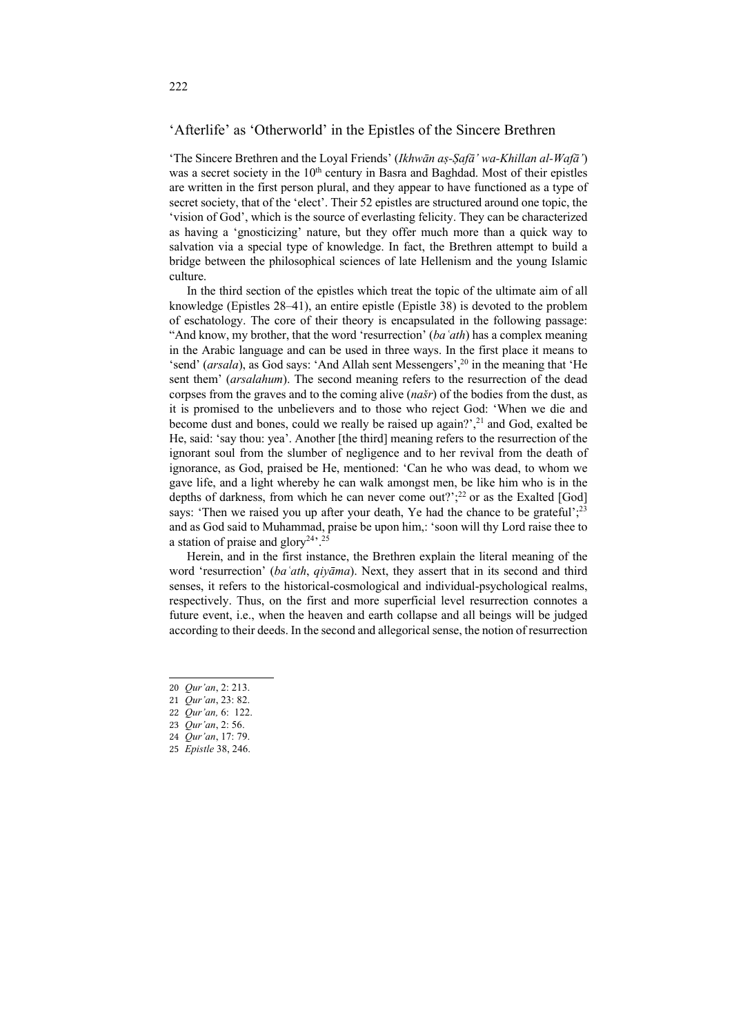## 'Afterlife' as 'Otherworld' in the Epistles of the Sincere Brethren

'The Sincere Brethren and the Loyal Friends' (*Ikhwān aṣ-Ṣafā' wa-Khillan al-Wafā'*) was a secret society in the 10<sup>th</sup> century in Basra and Baghdad. Most of their epistles are written in the first person plural, and they appear to have functioned as a type of secret society, that of the 'elect'. Their 52 epistles are structured around one topic, the 'vision of God', which is the source of everlasting felicity. They can be characterized as having a 'gnosticizing' nature, but they offer much more than a quick way to salvation via a special type of knowledge. In fact, the Brethren attempt to build a bridge between the philosophical sciences of late Hellenism and the young Islamic culture.

In the third section of the epistles which treat the topic of the ultimate aim of all knowledge (Epistles 28–41), an entire epistle (Epistle 38) is devoted to the problem of eschatology. The core of their theory is encapsulated in the following passage: "And know, my brother, that the word 'resurrection' (*baʿath*) has a complex meaning in the Arabic language and can be used in three ways. In the first place it means to 'send' (*arsala*), as God says: 'And Allah sent Messengers', <sup>20</sup> in the meaning that 'He sent them' (*arsalahum*). The second meaning refers to the resurrection of the dead corpses from the graves and to the coming alive (*našr*) of the bodies from the dust, as it is promised to the unbelievers and to those who reject God: 'When we die and become dust and bones, could we really be raised up again?', <sup>21</sup> and God, exalted be He, said: 'say thou: yea'. Another [the third] meaning refers to the resurrection of the ignorant soul from the slumber of negligence and to her revival from the death of ignorance, as God, praised be He, mentioned: 'Can he who was dead, to whom we gave life, and a light whereby he can walk amongst men, be like him who is in the depths of darkness, from which he can never come out?'; <sup>22</sup> or as the Exalted [God] says: 'Then we raised you up after your death, Ye had the chance to be grateful';<sup>23</sup> and as God said to Muhammad, praise be upon him,: 'soon will thy Lord raise thee to a station of praise and glory<sup>24</sup>'.<sup>25</sup>

Herein, and in the first instance, the Brethren explain the literal meaning of the word 'resurrection' (*baʿath*, *qiyāma*). Next, they assert that in its second and third senses, it refers to the historical-cosmological and individual-psychological realms, respectively. Thus, on the first and more superficial level resurrection connotes a future event, i.e., when the heaven and earth collapse and all beings will be judged according to their deeds. In the second and allegorical sense, the notion of resurrection

25 *Epistle* 38, 246.

<sup>20</sup> *Qur'an*, 2: 213.

<sup>21</sup> *Qur'an*, 23: 82.

<sup>22</sup> *Qur'an,* 6: 122.

<sup>23</sup> *Qur'an*, 2: 56.

<sup>24</sup> *Qur'an*, 17: 79.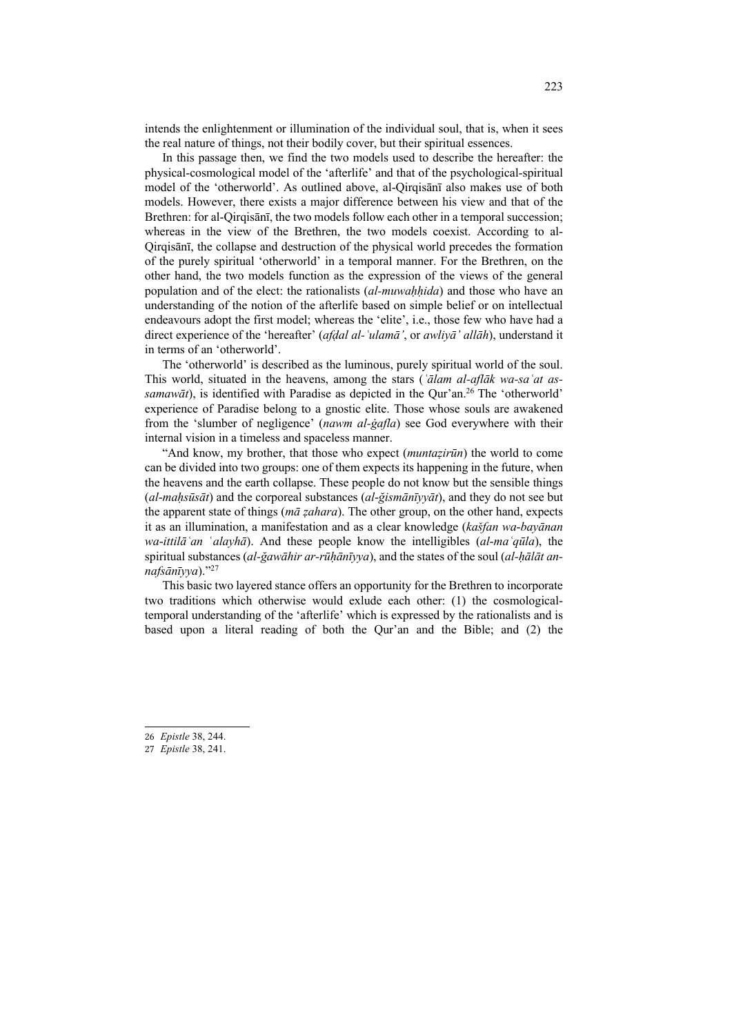intends the enlightenment or illumination of the individual soul, that is, when it sees the real nature of things, not their bodily cover, but their spiritual essences.

In this passage then, we find the two models used to describe the hereafter: the physical-cosmological model of the 'afterlife' and that of the psychological-spiritual model of the 'otherworld'. As outlined above, al-Qirqisānī also makes use of both models. However, there exists a major difference between his view and that of the Brethren: for al-Qirqisānī, the two models follow each other in a temporal succession; whereas in the view of the Brethren, the two models coexist. According to al-Qirqisānī, the collapse and destruction of the physical world precedes the formation of the purely spiritual 'otherworld' in a temporal manner. For the Brethren, on the other hand, the two models function as the expression of the views of the general population and of the elect: the rationalists (*al-muwaḥḥida*) and those who have an understanding of the notion of the afterlife based on simple belief or on intellectual endeavours adopt the first model; whereas the 'elite', i.e., those few who have had a direct experience of the 'hereafter' (*afḍal al-ʿulamā'*, or *awliyā' allāh*), understand it in terms of an 'otherworld'.

The 'otherworld' is described as the luminous, purely spiritual world of the soul. This world, situated in the heavens, among the stars (*ʿālam al-aflāk wa-saʿat assamawāt*), is identified with Paradise as depicted in the Qur'an.<sup>26</sup> The 'otherworld' experience of Paradise belong to a gnostic elite. Those whose souls are awakened from the 'slumber of negligence' (*nawm al-ġafla*) see God everywhere with their internal vision in a timeless and spaceless manner.

"And know, my brother, that those who expect (*muntaẓirūn*) the world to come can be divided into two groups: one of them expects its happening in the future, when the heavens and the earth collapse. These people do not know but the sensible things (*al*-*maḥsūsāt*) and the corporeal substances (*al*-*ğismānīyyāt*), and they do not see but the apparent state of things (*mā ẓahara*). The other group, on the other hand, expects it as an illumination, a manifestation and as a clear knowledge (*kašfan wa*-*bayānan wa*-*ittilāʿan* ʿ*alayhā*). And these people know the intelligibles (*al*-*maʿqūla*), the spiritual substances (*al-ğawāhir ar-rūḥānīyya*), and the states of the soul (*al-ḥālāt annafsānīyya*)."27

This basic two layered stance offers an opportunity for the Brethren to incorporate two traditions which otherwise would exlude each other: (1) the cosmologicaltemporal understanding of the 'afterlife' which is expressed by the rationalists and is based upon a literal reading of both the Qur'an and the Bible; and (2) the

- 26 *Epistle* 38, 244.
- 27 *Epistle* 38, 241.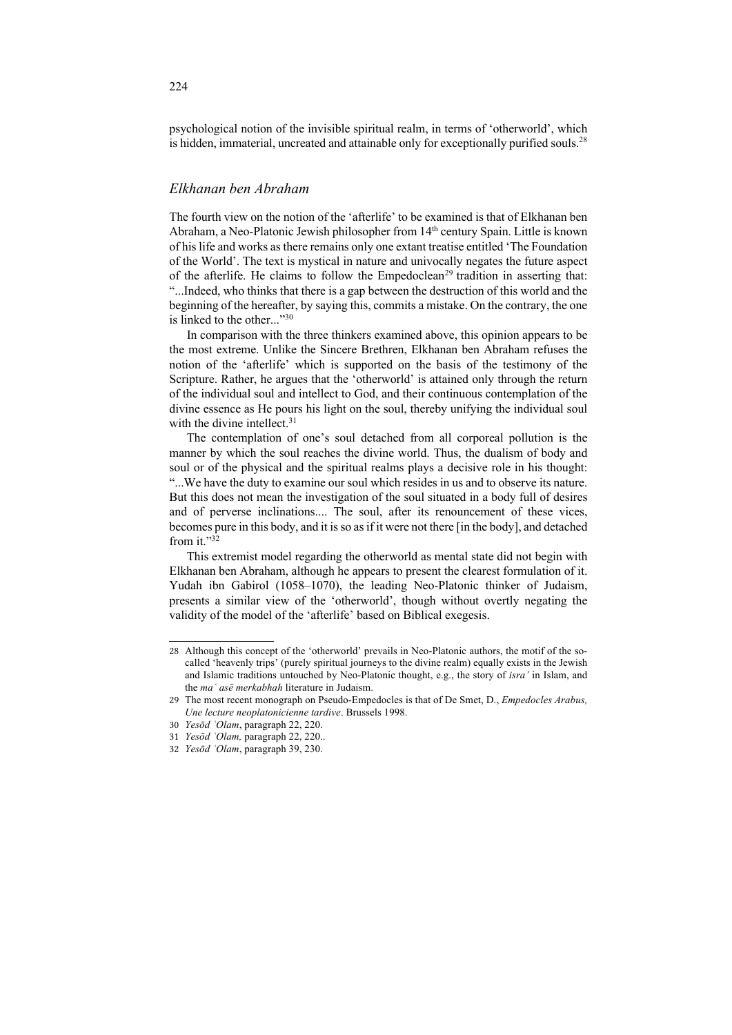psychological notion of the invisible spiritual realm, in terms of 'otherworld', which is hidden, immaterial, uncreated and attainable only for exceptionally purified souls.<sup>28</sup>

## *Elkhanan ben Abraham*

The fourth view on the notion of the 'afterlife' to be examined is that of Elkhanan ben Abraham, a Neo-Platonic Jewish philosopher from 14<sup>th</sup> century Spain. Little is known of his life and works as there remains only one extant treatise entitled 'The Foundation of the World'. The text is mystical in nature and univocally negates the future aspect of the afterlife. He claims to follow the Empedoclean<sup>29</sup> tradition in asserting that: "...Indeed, who thinks that there is a gap between the destruction of this world and the beginning of the hereafter, by saying this, commits a mistake. On the contrary, the one is linked to the other..."30

In comparison with the three thinkers examined above, this opinion appears to be the most extreme. Unlike the Sincere Brethren, Elkhanan ben Abraham refuses the notion of the 'afterlife' which is supported on the basis of the testimony of the Scripture. Rather, he argues that the 'otherworld' is attained only through the return of the individual soul and intellect to God, and their continuous contemplation of the divine essence as He pours his light on the soul, thereby unifying the individual soul with the divine intellect.<sup>31</sup>

The contemplation of one's soul detached from all corporeal pollution is the manner by which the soul reaches the divine world. Thus, the dualism of body and soul or of the physical and the spiritual realms plays a decisive role in his thought: "...We have the duty to examine our soul which resides in us and to observe its nature. But this does not mean the investigation of the soul situated in a body full of desires and of perverse inclinations.... The soul, after its renouncement of these vices, becomes pure in this body, and it is so as if it were not there [in the body], and detached from it."32

This extremist model regarding the otherworld as mental state did not begin with Elkhanan ben Abraham, although he appears to present the clearest formulation of it. Yudah ibn Gabirol (1058–1070), the leading Neo-Platonic thinker of Judaism, presents a similar view of the 'otherworld', though without overtly negating the validity of the model of the 'afterlife' based on Biblical exegesis.

<sup>28</sup> Although this concept of the 'otherworld' prevails in Neo-Platonic authors, the motif of the socalled 'heavenly trips' (purely spiritual journeys to the divine realm) equally exists in the Jewish and Islamic traditions untouched by Neo-Platonic thought, e.g., the story of *isra'* in Islam, and the *maʿ asē merkabhah* literature in Judaism.

<sup>29</sup> The most recent monograph on Pseudo-Empedocles is that of De Smet, D., *Empedocles Arabus, Une lecture neoplatonicienne tardive*. Brussels 1998.

<sup>30</sup> *Yesōd ʿOlam*, paragraph 22, 220.

<sup>31</sup> *Yesōd ʿOlam,* paragraph 22, 220..

<sup>32</sup> *Yesōd ʿOlam*, paragraph 39, 230.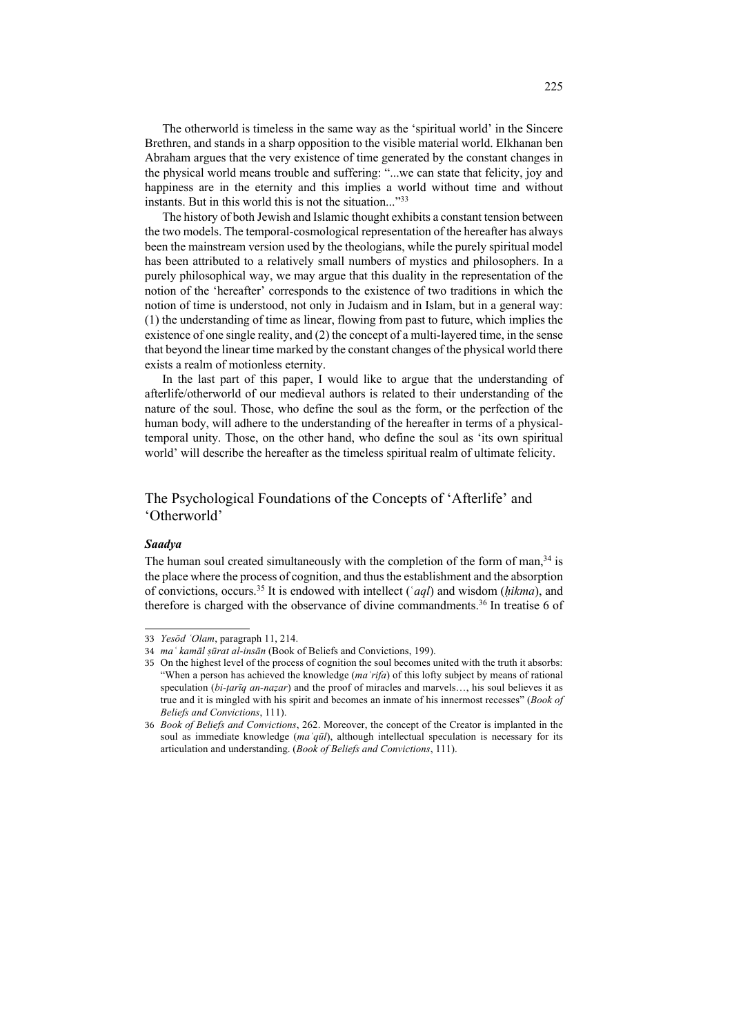The otherworld is timeless in the same way as the 'spiritual world' in the Sincere Brethren, and stands in a sharp opposition to the visible material world. Elkhanan ben Abraham argues that the very existence of time generated by the constant changes in the physical world means trouble and suffering: "...we can state that felicity, joy and happiness are in the eternity and this implies a world without time and without instants. But in this world this is not the situation..."<sup>33</sup>

The history of both Jewish and Islamic thought exhibits a constant tension between the two models. The temporal-cosmological representation of the hereafter has always been the mainstream version used by the theologians, while the purely spiritual model has been attributed to a relatively small numbers of mystics and philosophers. In a purely philosophical way, we may argue that this duality in the representation of the notion of the 'hereafter' corresponds to the existence of two traditions in which the notion of time is understood, not only in Judaism and in Islam, but in a general way: (1) the understanding of time as linear, flowing from past to future, which implies the existence of one single reality, and (2) the concept of a multi-layered time, in the sense that beyond the linear time marked by the constant changes of the physical world there exists a realm of motionless eternity.

In the last part of this paper, I would like to argue that the understanding of afterlife/otherworld of our medieval authors is related to their understanding of the nature of the soul. Those, who define the soul as the form, or the perfection of the human body, will adhere to the understanding of the hereafter in terms of a physicaltemporal unity. Those, on the other hand, who define the soul as 'its own spiritual world' will describe the hereafter as the timeless spiritual realm of ultimate felicity.

## The Psychological Foundations of the Concepts of 'Afterlife' and 'Otherworld'

### *Saadya*

The human soul created simultaneously with the completion of the form of man,<sup>34</sup> is the place where the process of cognition, and thus the establishment and the absorption of convictions, occurs.35 It is endowed with intellect (ʿ*aql*) and wisdom (*ḥikma*), and therefore is charged with the observance of divine commandments.36 In treatise 6 of

<sup>33</sup> *Yesōd ʿOlam*, paragraph 11, 214.

<sup>34</sup> *maʿ kamāl ṣūrat al-insān* (Book of Beliefs and Convictions, 199).

<sup>35</sup> On the highest level of the process of cognition the soul becomes united with the truth it absorbs: "When a person has achieved the knowledge (*maʿrifa*) of this lofty subject by means of rational speculation (*bi-ṭarīq an-naẓar*) and the proof of miracles and marvels…, his soul believes it as true and it is mingled with his spirit and becomes an inmate of his innermost recesses" (*Book of Beliefs and Convictions*, 111).

<sup>36</sup> *Book of Beliefs and Convictions*, 262. Moreover, the concept of the Creator is implanted in the soul as immediate knowledge (*maʿqūl*), although intellectual speculation is necessary for its articulation and understanding. (*Book of Beliefs and Convictions*, 111).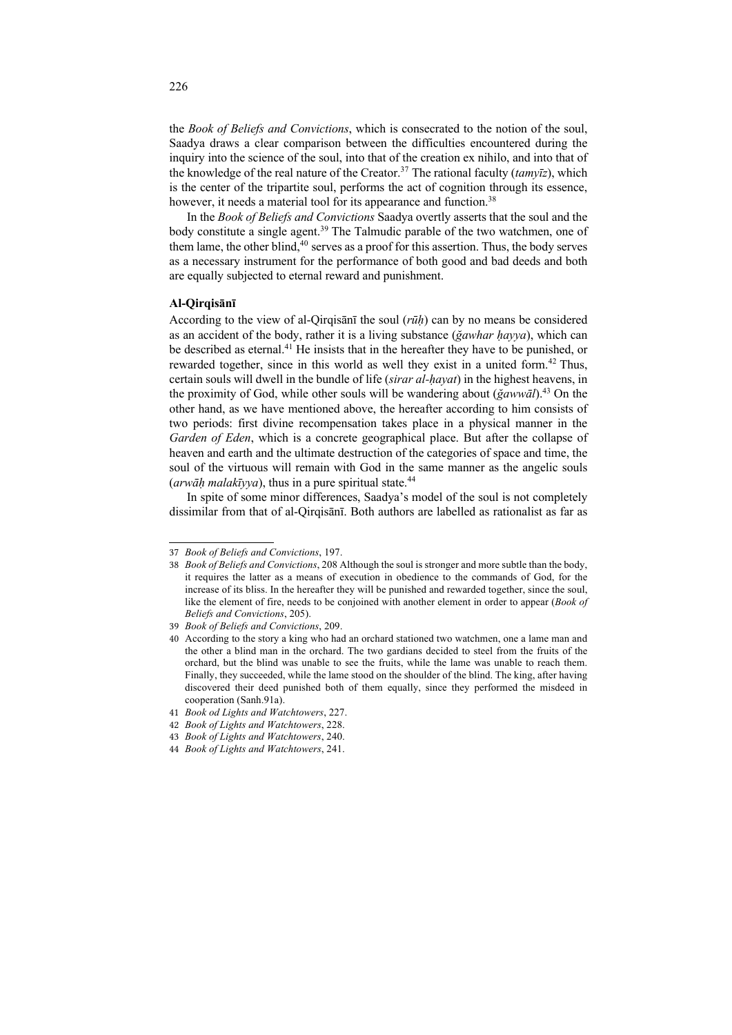the *Book of Beliefs and Convictions*, which is consecrated to the notion of the soul, Saadya draws a clear comparison between the difficulties encountered during the inquiry into the science of the soul, into that of the creation ex nihilo, and into that of the knowledge of the real nature of the Creator.37 The rational faculty (*tamyīz*), which is the center of the tripartite soul, performs the act of cognition through its essence, however, it needs a material tool for its appearance and function.<sup>38</sup>

In the *Book of Beliefs and Convictions* Saadya overtly asserts that the soul and the body constitute a single agent.<sup>39</sup> The Talmudic parable of the two watchmen, one of them lame, the other blind,<sup>40</sup> serves as a proof for this assertion. Thus, the body serves as a necessary instrument for the performance of both good and bad deeds and both are equally subjected to eternal reward and punishment.

### **Al-Qirqisānī**

According to the view of al-Qirqisānī the soul (*rūḥ*) can by no means be considered as an accident of the body, rather it is a living substance (*ğawhar ḥayya*), which can be described as eternal.<sup>41</sup> He insists that in the hereafter they have to be punished, or rewarded together, since in this world as well they exist in a united form.<sup>42</sup> Thus, certain souls will dwell in the bundle of life (*sirar al-ḥayat*) in the highest heavens, in the proximity of God, while other souls will be wandering about (*ğawwāl*).43 On the other hand, as we have mentioned above, the hereafter according to him consists of two periods: first divine recompensation takes place in a physical manner in the *Garden of Eden*, which is a concrete geographical place. But after the collapse of heaven and earth and the ultimate destruction of the categories of space and time, the soul of the virtuous will remain with God in the same manner as the angelic souls (*arwāḥ malakīyya*), thus in a pure spiritual state.44

In spite of some minor differences, Saadya's model of the soul is not completely dissimilar from that of al-Qirqisānī. Both authors are labelled as rationalist as far as

<sup>37</sup> *Book of Beliefs and Convictions*, 197.

<sup>38</sup> *Book of Beliefs and Convictions*, 208 Although the soul is stronger and more subtle than the body, it requires the latter as a means of execution in obedience to the commands of God, for the increase of its bliss. In the hereafter they will be punished and rewarded together, since the soul, like the element of fire, needs to be conjoined with another element in order to appear (*Book of Beliefs and Convictions*, 205).

<sup>39</sup> *Book of Beliefs and Convictions*, 209.

<sup>40</sup> According to the story a king who had an orchard stationed two watchmen, one a lame man and the other a blind man in the orchard. The two gardians decided to steel from the fruits of the orchard, but the blind was unable to see the fruits, while the lame was unable to reach them. Finally, they succeeded, while the lame stood on the shoulder of the blind. The king, after having discovered their deed punished both of them equally, since they performed the misdeed in cooperation (Sanh.91a).

<sup>41</sup> *Book od Lights and Watchtowers*, 227.

<sup>42</sup> *Book of Lights and Watchtowers*, 228.

<sup>43</sup> *Book of Lights and Watchtowers*, 240.

<sup>44</sup> *Book of Lights and Watchtowers*, 241.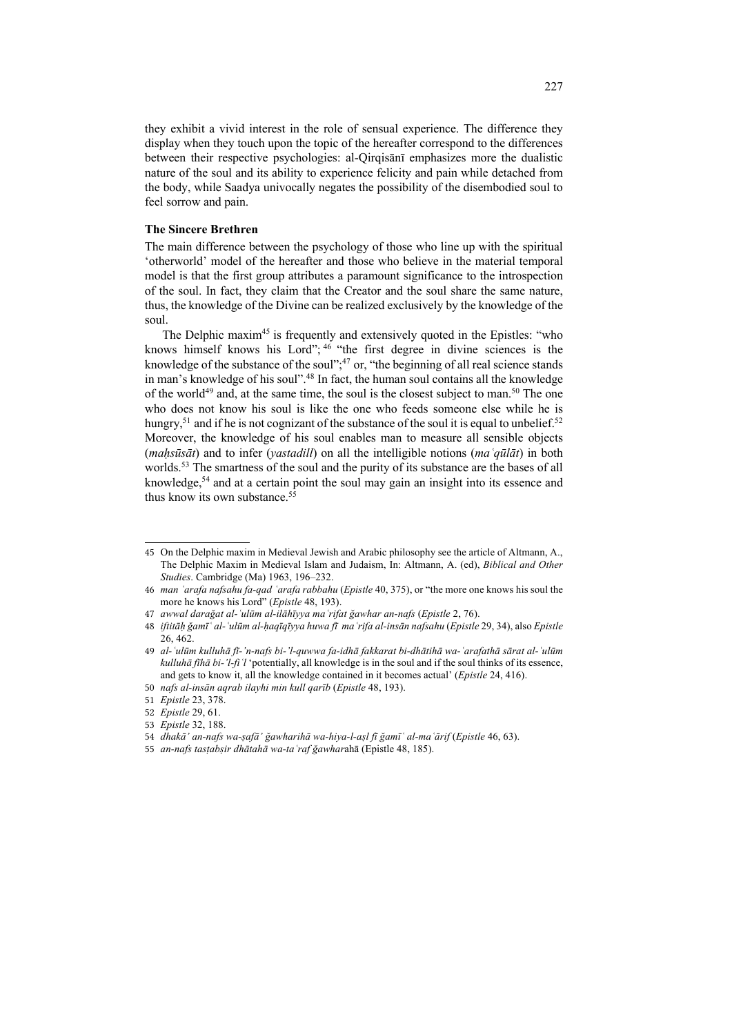they exhibit a vivid interest in the role of sensual experience. The difference they display when they touch upon the topic of the hereafter correspond to the differences between their respective psychologies: al-Qirqisānī emphasizes more the dualistic nature of the soul and its ability to experience felicity and pain while detached from the body, while Saadya univocally negates the possibility of the disembodied soul to feel sorrow and pain.

#### **The Sincere Brethren**

The main difference between the psychology of those who line up with the spiritual 'otherworld' model of the hereafter and those who believe in the material temporal model is that the first group attributes a paramount significance to the introspection of the soul. In fact, they claim that the Creator and the soul share the same nature, thus, the knowledge of the Divine can be realized exclusively by the knowledge of the soul.

The Delphic maxim<sup>45</sup> is frequently and extensively quoted in the Epistles: "who knows himself knows his Lord"; <sup>46</sup> "the first degree in divine sciences is the knowledge of the substance of the soul"; $47$  or, "the beginning of all real science stands in man's knowledge of his soul".<sup>48</sup> In fact, the human soul contains all the knowledge of the world<sup>49</sup> and, at the same time, the soul is the closest subject to man.<sup>50</sup> The one who does not know his soul is like the one who feeds someone else while he is hungry,<sup>51</sup> and if he is not cognizant of the substance of the soul it is equal to unbelief.<sup>52</sup> Moreover, the knowledge of his soul enables man to measure all sensible objects (*maḥsūsāt*) and to infer (*yastadill*) on all the intelligible notions (*maʿqūlāt*) in both worlds.<sup>53</sup> The smartness of the soul and the purity of its substance are the bases of all knowledge,54 and at a certain point the soul may gain an insight into its essence and thus know its own substance.<sup>55</sup>

<sup>45</sup> On the Delphic maxim in Medieval Jewish and Arabic philosophy see the article of Altmann, A., The Delphic Maxim in Medieval Islam and Judaism, In: Altmann, A. (ed), *Biblical and Other Studies*. Cambridge (Ma) 1963, 196-232.

<sup>46</sup> *man ʿarafa nafsahu fa-qad ʿarafa rabbahu* (*Epistle* 40, 375), or "the more one knows his soul the more he knows his Lord" (*Epistle* 48, 193).

<sup>47</sup> *awwal darağat al-ʿulūm al-ilāhīyya maʿrifat ğawhar an-nafs* (*Epistle* 2, 76).

<sup>48</sup> *iftitāḥ ğamīʿ al-ʿulūm al-ḥaqīqīyya huwa fī maʿrifa al-insān nafsahu* (*Epistle* 29, 34), also *Epistle* 26, 462.

<sup>49</sup> *al-ʿulūm kulluhā fī-'n-nafs bi-'l-quwwa fa-idhā fakkarat bi-dhātihā wa-ʿarafathā sārat al-ʿulūm kulluhā fīhā bi-'l-fiʿl* 'potentially, all knowledge is in the soul and if the soul thinks of its essence, and gets to know it, all the knowledge contained in it becomes actual' (*Epistle* 24, 416).

<sup>50</sup> *nafs al-insān aqrab ilayhi min kull qarīb* (*Epistle* 48, 193).

<sup>51</sup> *Epistle* 23, 378.

<sup>52</sup> *Epistle* 29, 61.

<sup>53</sup> *Epistle* 32, 188.

<sup>54</sup> *dhakā' an-nafs wa-ṣafā' ğawharihā wa-hiya-l-aṣl fī ğamīʿ al-maʿārif* (*Epistle* 46, 63).

<sup>55</sup> *an-nafs tasṭabṣir dhātahā wa-taʿraf ğawhar*ahā (Epistle 48, 185).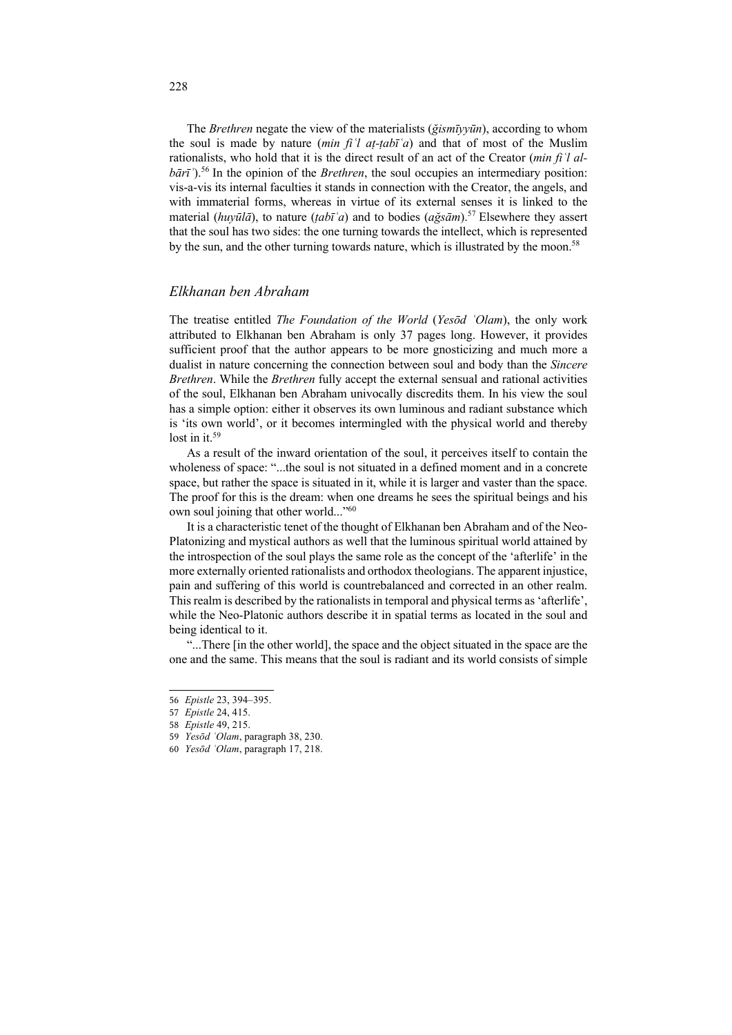The *Brethren* negate the view of the materialists (*ğismīyyūn*), according to whom the soul is made by nature *(min fi'l at-tabi'a)* and that of most of the Muslim rationalists, who hold that it is the direct result of an act of the Creator (*min fiʿl albārī*<sup> $\cdot$ </sup>).<sup>56</sup> In the opinion of the *Brethren*, the soul occupies an intermediary position: vis-a-vis its internal faculties it stands in connection with the Creator, the angels, and with immaterial forms, whereas in virtue of its external senses it is linked to the material (*huyūlā*), to nature (*ṭabīʿa*) and to bodies (*ağsām*).57 Elsewhere they assert that the soul has two sides: the one turning towards the intellect, which is represented by the sun, and the other turning towards nature, which is illustrated by the moon.<sup>58</sup>

## *Elkhanan ben Abraham*

The treatise entitled *The Foundation of the World* (*Yesōd ʿOlam*), the only work attributed to Elkhanan ben Abraham is only 37 pages long. However, it provides sufficient proof that the author appears to be more gnosticizing and much more a dualist in nature concerning the connection between soul and body than the *Sincere Brethren*. While the *Brethren* fully accept the external sensual and rational activities of the soul, Elkhanan ben Abraham univocally discredits them. In his view the soul has a simple option: either it observes its own luminous and radiant substance which is 'its own world', or it becomes intermingled with the physical world and thereby lost in it. $59$ 

As a result of the inward orientation of the soul, it perceives itself to contain the wholeness of space: "...the soul is not situated in a defined moment and in a concrete space, but rather the space is situated in it, while it is larger and vaster than the space. The proof for this is the dream: when one dreams he sees the spiritual beings and his own soul joining that other world..."<sup>60</sup>

It is a characteristic tenet of the thought of Elkhanan ben Abraham and of the Neo-Platonizing and mystical authors as well that the luminous spiritual world attained by the introspection of the soul plays the same role as the concept of the 'afterlife' in the more externally oriented rationalists and orthodox theologians. The apparent injustice, pain and suffering of this world is countrebalanced and corrected in an other realm. This realm is described by the rationalists in temporal and physical terms as 'afterlife', while the Neo-Platonic authors describe it in spatial terms as located in the soul and being identical to it.

"...There [in the other world], the space and the object situated in the space are the one and the same. This means that the soul is radiant and its world consists of simple

<sup>56</sup> *Epistle* 23, 394‒395.

<sup>57</sup> *Epistle* 24, 415.

<sup>58</sup> *Epistle* 49, 215.

<sup>59</sup> *Yesōd ʿOlam*, paragraph 38, 230.

<sup>60</sup> *Yesōd ʿOlam*, paragraph 17, 218.